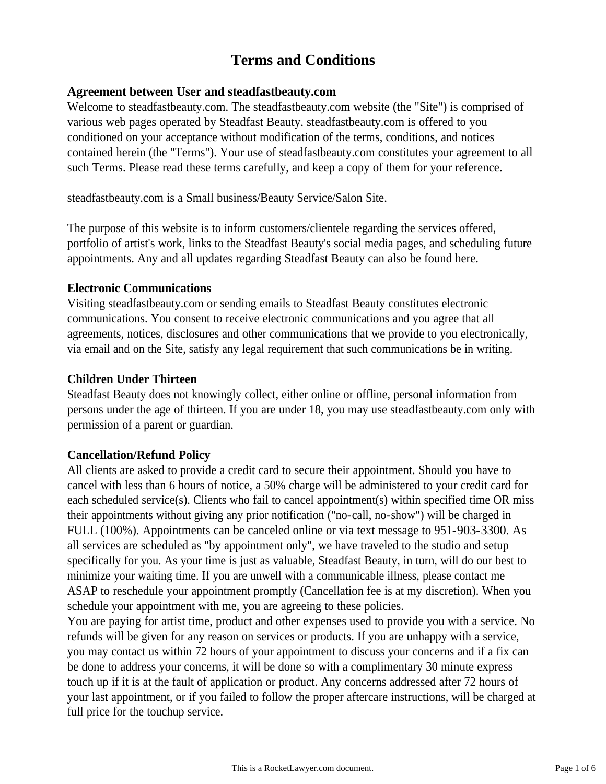# **Terms and Conditions**

## **Agreement between User and steadfastbeauty.com**

Welcome to steadfastbeauty.com. The steadfastbeauty.com website (the "Site") is comprised of various web pages operated by Steadfast Beauty. steadfastbeauty.com is offered to you conditioned on your acceptance without modification of the terms, conditions, and notices contained herein (the "Terms"). Your use of steadfastbeauty.com constitutes your agreement to all such Terms. Please read these terms carefully, and keep a copy of them for your reference.

steadfastbeauty.com is a Small business/Beauty Service/Salon Site.

The purpose of this website is to inform customers/clientele regarding the services offered, portfolio of artist's work, links to the Steadfast Beauty's social media pages, and scheduling future appointments. Any and all updates regarding Steadfast Beauty can also be found here.

### **Electronic Communications**

Visiting steadfastbeauty.com or sending emails to Steadfast Beauty constitutes electronic communications. You consent to receive electronic communications and you agree that all agreements, notices, disclosures and other communications that we provide to you electronically, via email and on the Site, satisfy any legal requirement that such communications be in writing.

### **Children Under Thirteen**

Steadfast Beauty does not knowingly collect, either online or offline, personal information from persons under the age of thirteen. If you are under 18, you may use steadfastbeauty.com only with permission of a parent or guardian.

# **Cancellation/Refund Policy**

All clients are asked to provide a credit card to secure their appointment. Should you have to cancel with less than 6 hours of notice, a 50% charge will be administered to your credit card for each scheduled service(s). Clients who fail to cancel appointment(s) within specified time OR miss their appointments without giving any prior notification ("no-call, no-show") will be charged in FULL (100%). Appointments can be canceled online or via text message to 951-903-3300. As all services are scheduled as "by appointment only", we have traveled to the studio and setup specifically for you. As your time is just as valuable, Steadfast Beauty, in turn, will do our best to minimize your waiting time. If you are unwell with a communicable illness, please contact me ASAP to reschedule your appointment promptly (Cancellation fee is at my discretion). When you schedule your appointment with me, you are agreeing to these policies.

You are paying for artist time, product and other expenses used to provide you with a service. No refunds will be given for any reason on services or products. If you are unhappy with a service, you may contact us within 72 hours of your appointment to discuss your concerns and if a fix can be done to address your concerns, it will be done so with a complimentary 30 minute express touch up if it is at the fault of application or product. Any concerns addressed after 72 hours of your last appointment, or if you failed to follow the proper aftercare instructions, will be charged at full price for the touchup service.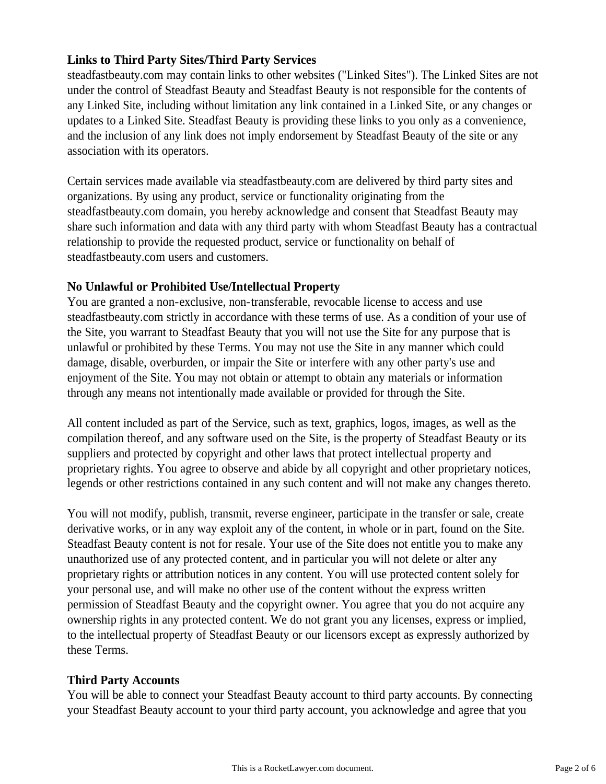# **Links to Third Party Sites/Third Party Services**

steadfastbeauty.com may contain links to other websites ("Linked Sites"). The Linked Sites are not under the control of Steadfast Beauty and Steadfast Beauty is not responsible for the contents of any Linked Site, including without limitation any link contained in a Linked Site, or any changes or updates to a Linked Site. Steadfast Beauty is providing these links to you only as a convenience, and the inclusion of any link does not imply endorsement by Steadfast Beauty of the site or any association with its operators.

Certain services made available via steadfastbeauty.com are delivered by third party sites and organizations. By using any product, service or functionality originating from the steadfastbeauty.com domain, you hereby acknowledge and consent that Steadfast Beauty may share such information and data with any third party with whom Steadfast Beauty has a contractual relationship to provide the requested product, service or functionality on behalf of steadfastbeauty.com users and customers.

# **No Unlawful or Prohibited Use/Intellectual Property**

You are granted a non-exclusive, non-transferable, revocable license to access and use steadfastbeauty.com strictly in accordance with these terms of use. As a condition of your use of the Site, you warrant to Steadfast Beauty that you will not use the Site for any purpose that is unlawful or prohibited by these Terms. You may not use the Site in any manner which could damage, disable, overburden, or impair the Site or interfere with any other party's use and enjoyment of the Site. You may not obtain or attempt to obtain any materials or information through any means not intentionally made available or provided for through the Site.

All content included as part of the Service, such as text, graphics, logos, images, as well as the compilation thereof, and any software used on the Site, is the property of Steadfast Beauty or its suppliers and protected by copyright and other laws that protect intellectual property and proprietary rights. You agree to observe and abide by all copyright and other proprietary notices, legends or other restrictions contained in any such content and will not make any changes thereto.

You will not modify, publish, transmit, reverse engineer, participate in the transfer or sale, create derivative works, or in any way exploit any of the content, in whole or in part, found on the Site. Steadfast Beauty content is not for resale. Your use of the Site does not entitle you to make any unauthorized use of any protected content, and in particular you will not delete or alter any proprietary rights or attribution notices in any content. You will use protected content solely for your personal use, and will make no other use of the content without the express written permission of Steadfast Beauty and the copyright owner. You agree that you do not acquire any ownership rights in any protected content. We do not grant you any licenses, express or implied, to the intellectual property of Steadfast Beauty or our licensors except as expressly authorized by these Terms.

### **Third Party Accounts**

You will be able to connect your Steadfast Beauty account to third party accounts. By connecting your Steadfast Beauty account to your third party account, you acknowledge and agree that you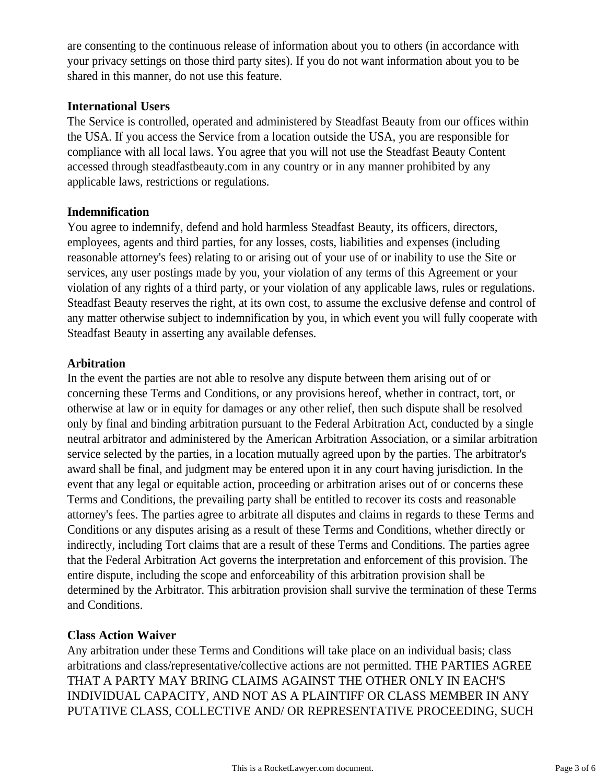are consenting to the continuous release of information about you to others (in accordance with your privacy settings on those third party sites). If you do not want information about you to be shared in this manner, do not use this feature.

# **International Users**

The Service is controlled, operated and administered by Steadfast Beauty from our offices within the USA. If you access the Service from a location outside the USA, you are responsible for compliance with all local laws. You agree that you will not use the Steadfast Beauty Content accessed through steadfastbeauty.com in any country or in any manner prohibited by any applicable laws, restrictions or regulations.

# **Indemnification**

You agree to indemnify, defend and hold harmless Steadfast Beauty, its officers, directors, employees, agents and third parties, for any losses, costs, liabilities and expenses (including reasonable attorney's fees) relating to or arising out of your use of or inability to use the Site or services, any user postings made by you, your violation of any terms of this Agreement or your violation of any rights of a third party, or your violation of any applicable laws, rules or regulations. Steadfast Beauty reserves the right, at its own cost, to assume the exclusive defense and control of any matter otherwise subject to indemnification by you, in which event you will fully cooperate with Steadfast Beauty in asserting any available defenses.

# **Arbitration**

In the event the parties are not able to resolve any dispute between them arising out of or concerning these Terms and Conditions, or any provisions hereof, whether in contract, tort, or otherwise at law or in equity for damages or any other relief, then such dispute shall be resolved only by final and binding arbitration pursuant to the Federal Arbitration Act, conducted by a single neutral arbitrator and administered by the American Arbitration Association, or a similar arbitration service selected by the parties, in a location mutually agreed upon by the parties. The arbitrator's award shall be final, and judgment may be entered upon it in any court having jurisdiction. In the event that any legal or equitable action, proceeding or arbitration arises out of or concerns these Terms and Conditions, the prevailing party shall be entitled to recover its costs and reasonable attorney's fees. The parties agree to arbitrate all disputes and claims in regards to these Terms and Conditions or any disputes arising as a result of these Terms and Conditions, whether directly or indirectly, including Tort claims that are a result of these Terms and Conditions. The parties agree that the Federal Arbitration Act governs the interpretation and enforcement of this provision. The entire dispute, including the scope and enforceability of this arbitration provision shall be determined by the Arbitrator. This arbitration provision shall survive the termination of these Terms and Conditions.

# **Class Action Waiver**

Any arbitration under these Terms and Conditions will take place on an individual basis; class arbitrations and class/representative/collective actions are not permitted. THE PARTIES AGREE THAT A PARTY MAY BRING CLAIMS AGAINST THE OTHER ONLY IN EACH'S INDIVIDUAL CAPACITY, AND NOT AS A PLAINTIFF OR CLASS MEMBER IN ANY PUTATIVE CLASS, COLLECTIVE AND/ OR REPRESENTATIVE PROCEEDING, SUCH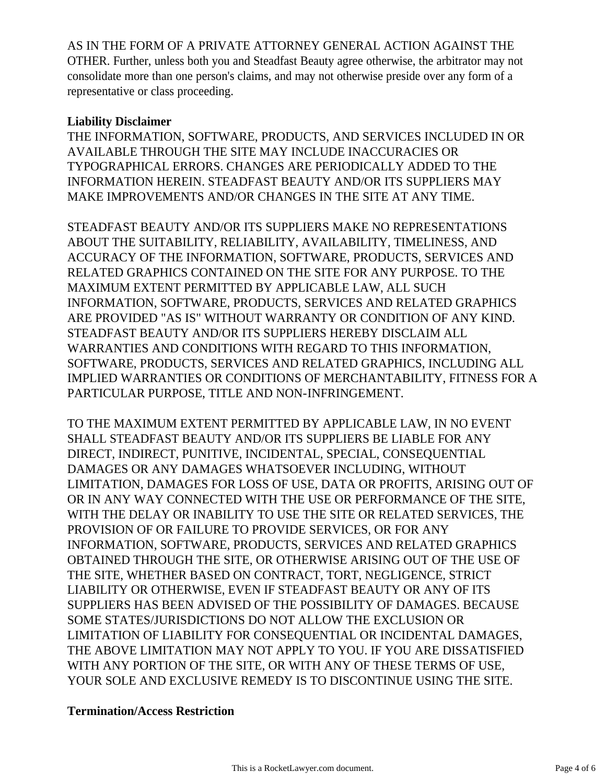AS IN THE FORM OF A PRIVATE ATTORNEY GENERAL ACTION AGAINST THE OTHER. Further, unless both you and Steadfast Beauty agree otherwise, the arbitrator may not consolidate more than one person's claims, and may not otherwise preside over any form of a representative or class proceeding.

## **Liability Disclaimer**

THE INFORMATION, SOFTWARE, PRODUCTS, AND SERVICES INCLUDED IN OR AVAILABLE THROUGH THE SITE MAY INCLUDE INACCURACIES OR TYPOGRAPHICAL ERRORS. CHANGES ARE PERIODICALLY ADDED TO THE INFORMATION HEREIN. STEADFAST BEAUTY AND/OR ITS SUPPLIERS MAY MAKE IMPROVEMENTS AND/OR CHANGES IN THE SITE AT ANY TIME.

STEADFAST BEAUTY AND/OR ITS SUPPLIERS MAKE NO REPRESENTATIONS ABOUT THE SUITABILITY, RELIABILITY, AVAILABILITY, TIMELINESS, AND ACCURACY OF THE INFORMATION, SOFTWARE, PRODUCTS, SERVICES AND RELATED GRAPHICS CONTAINED ON THE SITE FOR ANY PURPOSE. TO THE MAXIMUM EXTENT PERMITTED BY APPLICABLE LAW, ALL SUCH INFORMATION, SOFTWARE, PRODUCTS, SERVICES AND RELATED GRAPHICS ARE PROVIDED "AS IS" WITHOUT WARRANTY OR CONDITION OF ANY KIND. STEADFAST BEAUTY AND/OR ITS SUPPLIERS HEREBY DISCLAIM ALL WARRANTIES AND CONDITIONS WITH REGARD TO THIS INFORMATION, SOFTWARE, PRODUCTS, SERVICES AND RELATED GRAPHICS, INCLUDING ALL IMPLIED WARRANTIES OR CONDITIONS OF MERCHANTABILITY, FITNESS FOR A PARTICULAR PURPOSE, TITLE AND NON-INFRINGEMENT.

TO THE MAXIMUM EXTENT PERMITTED BY APPLICABLE LAW, IN NO EVENT SHALL STEADFAST BEAUTY AND/OR ITS SUPPLIERS BE LIABLE FOR ANY DIRECT, INDIRECT, PUNITIVE, INCIDENTAL, SPECIAL, CONSEQUENTIAL DAMAGES OR ANY DAMAGES WHATSOEVER INCLUDING, WITHOUT LIMITATION, DAMAGES FOR LOSS OF USE, DATA OR PROFITS, ARISING OUT OF OR IN ANY WAY CONNECTED WITH THE USE OR PERFORMANCE OF THE SITE, WITH THE DELAY OR INABILITY TO USE THE SITE OR RELATED SERVICES, THE PROVISION OF OR FAILURE TO PROVIDE SERVICES, OR FOR ANY INFORMATION, SOFTWARE, PRODUCTS, SERVICES AND RELATED GRAPHICS OBTAINED THROUGH THE SITE, OR OTHERWISE ARISING OUT OF THE USE OF THE SITE, WHETHER BASED ON CONTRACT, TORT, NEGLIGENCE, STRICT LIABILITY OR OTHERWISE, EVEN IF STEADFAST BEAUTY OR ANY OF ITS SUPPLIERS HAS BEEN ADVISED OF THE POSSIBILITY OF DAMAGES. BECAUSE SOME STATES/JURISDICTIONS DO NOT ALLOW THE EXCLUSION OR LIMITATION OF LIABILITY FOR CONSEQUENTIAL OR INCIDENTAL DAMAGES, THE ABOVE LIMITATION MAY NOT APPLY TO YOU. IF YOU ARE DISSATISFIED WITH ANY PORTION OF THE SITE, OR WITH ANY OF THESE TERMS OF USE, YOUR SOLE AND EXCLUSIVE REMEDY IS TO DISCONTINUE USING THE SITE.

## **Termination/Access Restriction**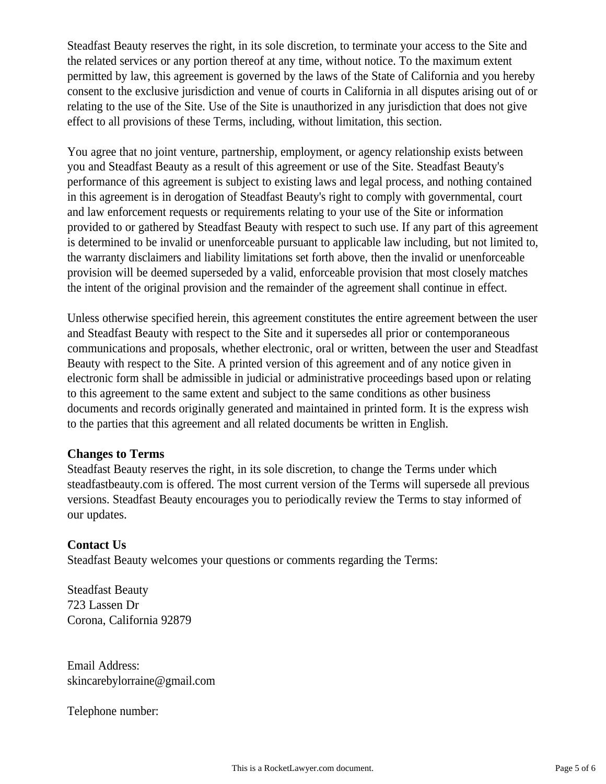Steadfast Beauty reserves the right, in its sole discretion, to terminate your access to the Site and the related services or any portion thereof at any time, without notice. To the maximum extent permitted by law, this agreement is governed by the laws of the State of California and you hereby consent to the exclusive jurisdiction and venue of courts in California in all disputes arising out of or relating to the use of the Site. Use of the Site is unauthorized in any jurisdiction that does not give effect to all provisions of these Terms, including, without limitation, this section.

You agree that no joint venture, partnership, employment, or agency relationship exists between you and Steadfast Beauty as a result of this agreement or use of the Site. Steadfast Beauty's performance of this agreement is subject to existing laws and legal process, and nothing contained in this agreement is in derogation of Steadfast Beauty's right to comply with governmental, court and law enforcement requests or requirements relating to your use of the Site or information provided to or gathered by Steadfast Beauty with respect to such use. If any part of this agreement is determined to be invalid or unenforceable pursuant to applicable law including, but not limited to, the warranty disclaimers and liability limitations set forth above, then the invalid or unenforceable provision will be deemed superseded by a valid, enforceable provision that most closely matches the intent of the original provision and the remainder of the agreement shall continue in effect.

Unless otherwise specified herein, this agreement constitutes the entire agreement between the user and Steadfast Beauty with respect to the Site and it supersedes all prior or contemporaneous communications and proposals, whether electronic, oral or written, between the user and Steadfast Beauty with respect to the Site. A printed version of this agreement and of any notice given in electronic form shall be admissible in judicial or administrative proceedings based upon or relating to this agreement to the same extent and subject to the same conditions as other business documents and records originally generated and maintained in printed form. It is the express wish to the parties that this agreement and all related documents be written in English.

### **Changes to Terms**

Steadfast Beauty reserves the right, in its sole discretion, to change the Terms under which steadfastbeauty.com is offered. The most current version of the Terms will supersede all previous versions. Steadfast Beauty encourages you to periodically review the Terms to stay informed of our updates.

# **Contact Us**

Steadfast Beauty welcomes your questions or comments regarding the Terms:

Steadfast Beauty 723 Lassen Dr Corona, California 92879

Email Address: skincarebylorraine@gmail.com

Telephone number: